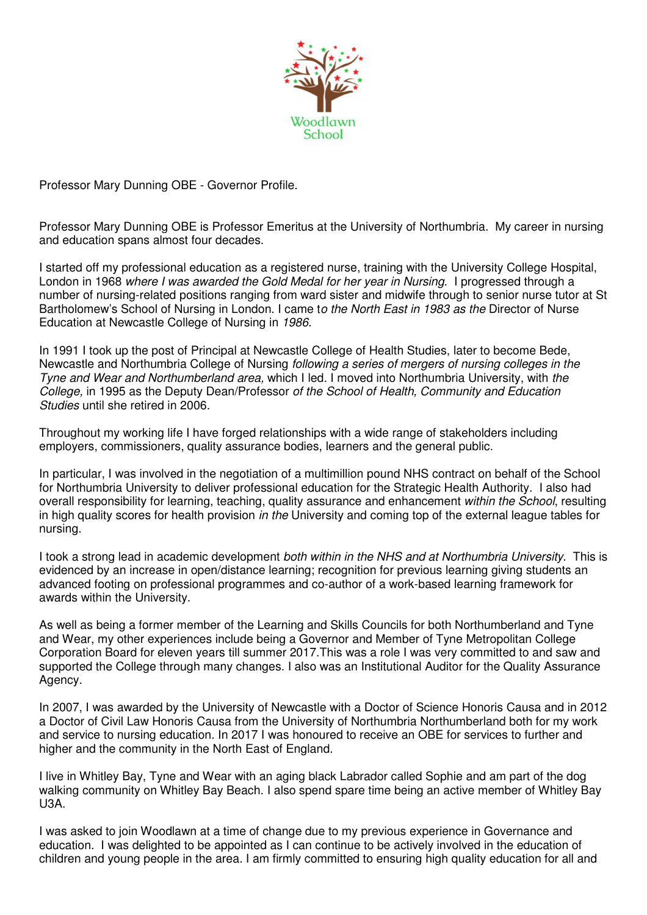

Professor Mary Dunning OBE - Governor Profile.

Professor Mary Dunning OBE is Professor Emeritus at the University of Northumbria. My career in nursing and education spans almost four decades.

I started off my professional education as a registered nurse, training with the University College Hospital, London in 1968 where I was awarded the Gold Medal for her year in Nursing. I progressed through a number of nursing-related positions ranging from ward sister and midwife through to senior nurse tutor at St Bartholomew's School of Nursing in London. I came to the North East in 1983 as the Director of Nurse Education at Newcastle College of Nursing in 1986.

In 1991 I took up the post of Principal at Newcastle College of Health Studies, later to become Bede, Newcastle and Northumbria College of Nursing following a series of mergers of nursing colleges in the Tyne and Wear and Northumberland area, which I led. I moved into Northumbria University, with the College, in 1995 as the Deputy Dean/Professor of the School of Health, Community and Education Studies until she retired in 2006.

Throughout my working life I have forged relationships with a wide range of stakeholders including employers, commissioners, quality assurance bodies, learners and the general public.

In particular, I was involved in the negotiation of a multimillion pound NHS contract on behalf of the School for Northumbria University to deliver professional education for the Strategic Health Authority. I also had overall responsibility for learning, teaching, quality assurance and enhancement within the School, resulting in high quality scores for health provision in the University and coming top of the external league tables for nursing.

I took a strong lead in academic development both within in the NHS and at Northumbria University. This is evidenced by an increase in open/distance learning; recognition for previous learning giving students an advanced footing on professional programmes and co-author of a work-based learning framework for awards within the University.

As well as being a former member of the Learning and Skills Councils for both Northumberland and Tyne and Wear, my other experiences include being a Governor and Member of Tyne Metropolitan College Corporation Board for eleven years till summer 2017.This was a role I was very committed to and saw and supported the College through many changes. I also was an Institutional Auditor for the Quality Assurance Agency.

In 2007, I was awarded by the University of Newcastle with a Doctor of Science Honoris Causa and in 2012 a Doctor of Civil Law Honoris Causa from the University of Northumbria Northumberland both for my work and service to nursing education. In 2017 I was honoured to receive an OBE for services to further and higher and the community in the North East of England.

I live in Whitley Bay, Tyne and Wear with an aging black Labrador called Sophie and am part of the dog walking community on Whitley Bay Beach. I also spend spare time being an active member of Whitley Bay U3A.

I was asked to join Woodlawn at a time of change due to my previous experience in Governance and education. I was delighted to be appointed as I can continue to be actively involved in the education of children and young people in the area. I am firmly committed to ensuring high quality education for all and